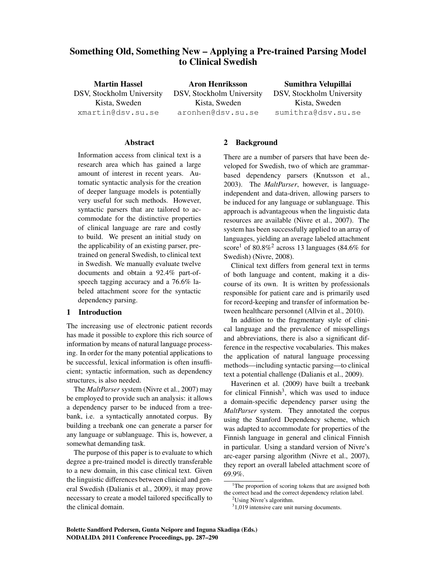# Something Old, Something New – Applying a Pre-trained Parsing Model to Clinical Swedish

Martin Hassel DSV, Stockholm University Kista, Sweden xmartin@dsv.su.se

Aron Henriksson DSV, Stockholm University Kista, Sweden aronhen@dsv.su.se

Sumithra Velupillai DSV, Stockholm University Kista, Sweden sumithra@dsv.su.se

## **Abstract**

Information access from clinical text is a research area which has gained a large amount of interest in recent years. Automatic syntactic analysis for the creation of deeper language models is potentially very useful for such methods. However, syntactic parsers that are tailored to accommodate for the distinctive properties of clinical language are rare and costly to build. We present an initial study on the applicability of an existing parser, pretrained on general Swedish, to clinical text in Swedish. We manually evaluate twelve documents and obtain a 92.4% part-ofspeech tagging accuracy and a 76.6% labeled attachment score for the syntactic dependency parsing.

## 1 Introduction

The increasing use of electronic patient records has made it possible to explore this rich source of information by means of natural language processing. In order for the many potential applications to be successful, lexical information is often insufficient; syntactic information, such as dependency structures, is also needed.

The *MaltParser* system (Nivre et al., 2007) may be employed to provide such an analysis: it allows a dependency parser to be induced from a treebank, i.e. a syntactically annotated corpus. By building a treebank one can generate a parser for any language or sublanguage. This is, however, a somewhat demanding task.

The purpose of this paper is to evaluate to which degree a pre-trained model is directly transferable to a new domain, in this case clinical text. Given the linguistic differences between clinical and general Swedish (Dalianis et al., 2009), it may prove necessary to create a model tailored specifically to the clinical domain.

## 2 Background

There are a number of parsers that have been developed for Swedish, two of which are grammarbased dependency parsers (Knutsson et al., 2003). The *MaltParser*, however, is languageindependent and data-driven, allowing parsers to be induced for any language or sublanguage. This approach is advantageous when the linguistic data resources are available (Nivre et al., 2007). The system has been successfully applied to an array of languages, yielding an average labeled attachment score<sup>1</sup> of 80.8%<sup>2</sup> across 13 languages (84.6% for Swedish) (Nivre, 2008).

Clinical text differs from general text in terms of both language and content, making it a discourse of its own. It is written by professionals responsible for patient care and is primarily used for record-keeping and transfer of information between healthcare personnel (Allvin et al., 2010).

In addition to the fragmentary style of clinical language and the prevalence of misspellings and abbreviations, there is also a significant difference in the respective vocabularies. This makes the application of natural language processing methods—including syntactic parsing—to clinical text a potential challenge (Dalianis et al., 2009).

Haverinen et al. (2009) have built a treebank for clinical Finnish<sup>3</sup>, which was used to induce a domain-specific dependency parser using the *MaltParser* system. They annotated the corpus using the Stanford Dependency scheme, which was adapted to accommodate for properties of the Finnish language in general and clinical Finnish in particular. Using a standard version of Nivre's arc-eager parsing algorithm (Nivre et al., 2007), they report an overall labeled attachment score of 69.9%.

<sup>&</sup>lt;sup>1</sup>The proportion of scoring tokens that are assigned both the correct head and the correct dependency relation label.

<sup>&</sup>lt;sup>2</sup>Using Nivre's algorithm.

<sup>&</sup>lt;sup>3</sup>1,019 intensive care unit nursing documents.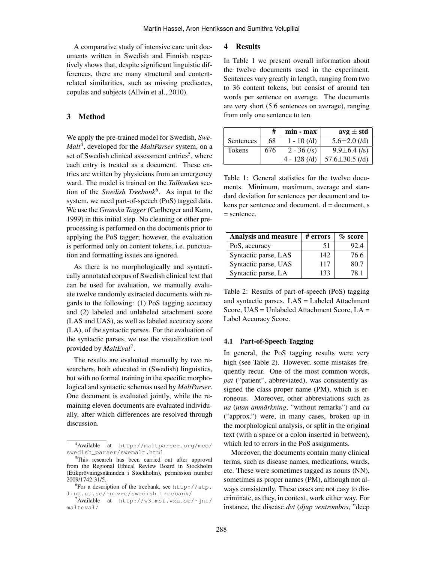A comparative study of intensive care unit documents written in Swedish and Finnish respectively shows that, despite significant linguistic differences, there are many structural and contentrelated similarities, such as missing predicates, copulas and subjects (Allvin et al., 2010).

## 3 Method

We apply the pre-trained model for Swedish, *Swe-Malt*<sup>4</sup> , developed for the *MaltParser* system, on a set of Swedish clinical assessment entries<sup>5</sup>, where each entry is treated as a document. These entries are written by physicians from an emergency ward. The model is trained on the *Talbanken* section of the *Swedish Treebank*<sup>6</sup> . As input to the system, we need part-of-speech (PoS) tagged data. We use the *Granska Tagger* (Carlberger and Kann, 1999) in this initial step. No cleaning or other preprocessing is performed on the documents prior to applying the PoS tagger; however, the evaluation is performed only on content tokens, i.e. punctuation and formatting issues are ignored.

As there is no morphologically and syntactically annotated corpus of Swedish clinical text that can be used for evaluation, we manually evaluate twelve randomly extracted documents with regards to the following: (1) PoS tagging accuracy and (2) labeled and unlabeled attachment score (LAS and UAS), as well as labeled accuracy score (LA), of the syntactic parses. For the evaluation of the syntactic parses, we use the visualization tool provided by *MaltEval*<sup>7</sup> .

The results are evaluated manually by two researchers, both educated in (Swedish) linguistics, but with no formal training in the specific morphological and syntactic schemas used by *MaltParser*. One document is evaluated jointly, while the remaining eleven documents are evaluated individually, after which differences are resolved through discussion.

#### 4 Results

In Table 1 we present overall information about the twelve documents used in the experiment. Sentences vary greatly in length, ranging from two to 36 content tokens, but consist of around ten words per sentence on average. The documents are very short (5.6 sentences on average), ranging from only one sentence to ten.

|               | #   | $min - max$    | $avg \pm std$        |
|---------------|-----|----------------|----------------------|
| Sentences     | 68  | $1 - 10$ (/d)  | $5.6 \pm 2.0$ (/d)   |
| <b>Tokens</b> | 676 | $2 - 36$ (/s)  | $9.9 \pm 6.4$ (/s)   |
|               |     | $4 - 128$ (/d) | 57.6 $\pm$ 30.5 (/d) |

Table 1: General statistics for the twelve documents. Minimum, maximum, average and standard deviation for sentences per document and tokens per sentence and document.  $d =$  document, s = sentence.

| <b>Analysis and measure</b> | # errors | $\%$ score |
|-----------------------------|----------|------------|
| PoS, accuracy               | 51       | 92.4       |
| Syntactic parse, LAS        | 142      | 76.6       |
| Syntactic parse, UAS        | 117      | 80.7       |
| Syntactic parse, LA         | 133      | 78.1       |

Table 2: Results of part-of-speech (PoS) tagging and syntactic parses. LAS = Labeled Attachment Score, UAS = Unlabeled Attachment Score, LA = Label Accuracy Score.

#### 4.1 Part-of-Speech Tagging

In general, the PoS tagging results were very high (see Table 2). However, some mistakes frequently recur. One of the most common words, *pat* ("patient", abbreviated), was consistently assigned the class proper name (PM), which is erroneous. Moreover, other abbreviations such as *ua* (*utan anmarkning ¨* , "without remarks") and *ca* ("approx.") were, in many cases, broken up in the morphological analysis, or split in the original text (with a space or a colon inserted in between), which led to errors in the PoS assignments.

Moreover, the documents contain many clinical terms, such as disease names, medications, wards, etc. These were sometimes tagged as nouns (NN), sometimes as proper names (PM), although not always consistently. These cases are not easy to discriminate, as they, in context, work either way. For instance, the disease *dvt* (*djup ventrombos*, "deep

<sup>4</sup>Available at http://maltparser.org/mco/ swedish\_parser/swemalt.html

<sup>&</sup>lt;sup>5</sup>This research has been carried out after approval from the Regional Ethical Review Board in Stockholm (Etikprövningsnämnden i Stockholm), permission number 2009/1742-31/5.

 ${}^{6}$ For a description of the treebank, see http://stp. ling.uu.se/˜nivre/swedish\_treebank/

 $7$ Available at http://w3.msi.vxu.se/~jni/ malteval/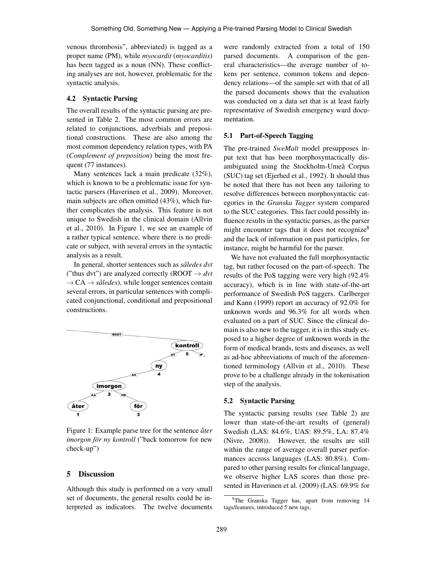venous thrombosis", abbreviated) is tagged as a proper name (PM), while *myocardit* (*myocarditis*) has been tagged as a noun (NN). These conflicting analyses are not, however, problematic for the syntactic analysis.

#### 4.2 Syntactic Parsing

The overall results of the syntactic parsing are presented in Table 2. The most common errors are related to conjunctions, adverbials and prepositional constructions. These are also among the most common dependency relation types, with PA (*Complement of preposition*) being the most frequent (77 instances).

Many sentences lack a main predicate (32%), which is known to be a problematic issue for syntactic parsers (Haverinen et al., 2009). Moreover, main subjects are often omitted (43%), which further complicates the analysis. This feature is not unique to Swedish in the clinical domain (Allvin et al., 2010). In Figure 1, we see an example of a rather typical sentence, where there is no predicate or subject, with several errors in the syntactic analysis as a result.

In general, shorter sentences such as *saledes dvt ˚* ("thus dvt") are analyzed correctly (ROOT  $\rightarrow$  dvt  $\rightarrow$  CA  $\rightarrow$  *således*), while longer sentences contain several errors, in particular sentences with complicated conjunctional, conditional and prepositional constructions.



Figure 1: Example parse tree for the sentence *åter imorgon för ny kontroll* ("back tomorrow for new check-up")

#### 5 Discussion

Although this study is performed on a very small set of documents, the general results could be interpreted as indicators. The twelve documents were randomly extracted from a total of 150 parsed documents. A comparison of the general characteristics—the average number of tokens per sentence, common tokens and dependency relations—of the sample set with that of all the parsed documents shows that the evaluation was conducted on a data set that is at least fairly representative of Swedish emergency ward documentation.

#### 5.1 Part-of-Speech Tagging

The pre-trained *SweMalt* model presupposes input text that has been morphosyntactically disambiguated using the Stockholm-Umeå Corpus (SUC) tag set (Ejerhed et al., 1992). It should thus be noted that there has not been any tailoring to resolve differences between morphosyntactic categories in the *Granska Tagger* system compared to the SUC categories. This fact could possibly influence results in the syntactic parses, as the parser might encounter tags that it does not recognize<sup>8</sup> and the lack of information on past participles, for instance, might be harmful for the parser.

We have not evaluated the full morphosyntactic tag, but rather focused on the part-of-speech. The results of the PoS tagging were very high (92.4% accuracy), which is in line with state-of-the-art performance of Swedish PoS taggers. Carlberger and Kann (1999) report an accuracy of 92.0% for unknown words and 96.3% for all words when evaluated on a part of SUC. Since the clinical domain is also new to the tagger, it is in this study exposed to a higher degree of unknown words in the form of medical brands, tests and diseases, as well as ad-hoc abbreviations of much of the aforementioned terminology (Allvin et al., 2010). These prove to be a challenge already in the tokenisation step of the analysis.

#### 5.2 Syntactic Parsing

The syntactic parsing results (see Table 2) are lower than state-of-the-art results of (general) Swedish (LAS: 84.6%, UAS: 89.5%, LA: 87.4% (Nivre, 2008)). However, the results are still within the range of average overall parser performances accross languages (LAS: 80.8%). Compared to other parsing results for clinical language, we observe higher LAS scores than those presented in Haverinen et al. (2009) (LAS: 69.9% for

<sup>&</sup>lt;sup>8</sup>The Granska Tagger has, apart from removing 14 tags/features, introduced 5 new tags.